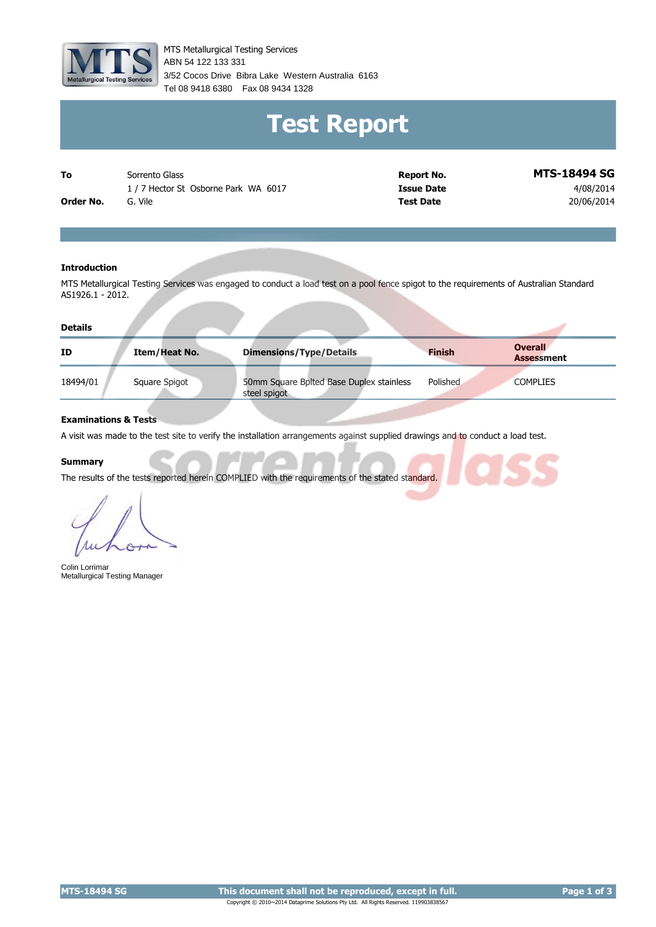

MTS Metallurgical Testing Services 3/52 Cocos Drive Bibra Lake Western Australia 6163 Tel 08 9418 6380 Fax 08 9434 1328 ABN 54 122 133 331

# **Test Report**

| To        | Sorrento Glass                     | Report No.       | <b>MTS-18494 SG</b> |
|-----------|------------------------------------|------------------|---------------------|
|           | 1/7 Hector St Osborne Park WA 6017 | Issue Date       | 4/08/2014           |
| Order No. | Vile                               | <b>Test Date</b> | 20/06/2014          |

#### **Introduction**

MTS Metallurgical Testing Services was engaged to conduct a load test on a pool fence spigot to the requirements of Australian Standard AS1926.1 - 2012.

| <b>Details</b> |               |                                                          |               |                                     |
|----------------|---------------|----------------------------------------------------------|---------------|-------------------------------------|
| ID             | Item/Heat No. | <b>Dimensions/Type/Details</b>                           | <b>Finish</b> | <b>Overall</b><br><b>Assessment</b> |
| 18494/01       | Square Spigot | 50mm Square Bplted Base Duplex stainless<br>steel spigot | Polished      | <b>COMPLIES</b>                     |

#### **Examinations & Tests**

A visit was made to the test site to verify the installation arrangements against supplied drawings and to conduct a load test.

#### **Summary**

The results of the tests reported herein COMPLIED with the requirements of the stated standard.

Colin Lorrimar Metallurgical Testing Manager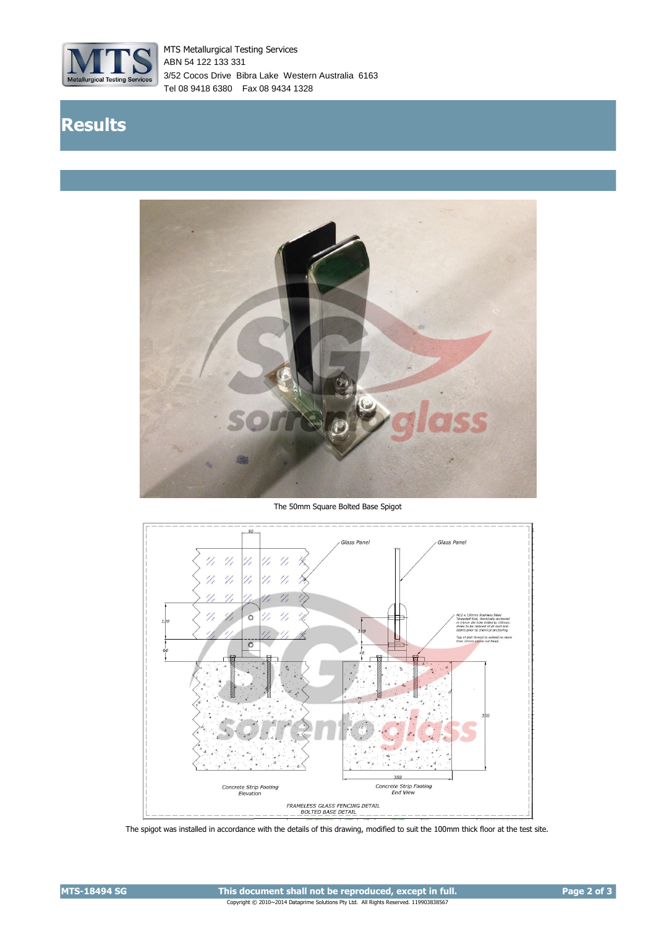

MTS Metallurgical Testing Services 3/52 Cocos Drive Bibra Lake Western Australia 6163 Tel 08 9418 6380 Fax 08 9434 1328 ABN 54 122 133 331

## **Results**



The 50mm Square Bolted Base Spigot



The spigot was installed in accordance with the details of this drawing, modified to suit the 100mm thick floor at the test site.